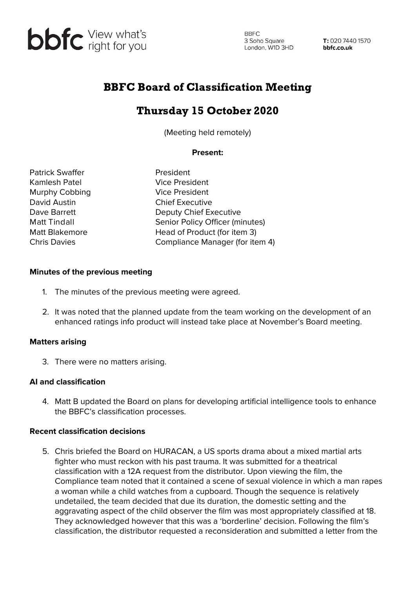

**BBFC** 3 Soho Square London, W1D 3HD

T: 020 7440 1570 bbfc.co.uk

## BBFC Board of Classification Meeting

# Thursday 15 October 2020

(Meeting held remotely)

### **Present:**

Patrick Swaffer **President** Kamlesh Patel Vice President Murphy Cobbing **Vice President** David Austin **Chief Executive** 

Dave Barrett Deputy Chief Executive Matt Tindall Senior Policy Officer (minutes) Matt Blakemore **Head of Product (for item 3)** Chris Davies Compliance Manager (for item 4)

#### **Minutes of the previous meeting**

- 1. The minutes of the previous meeting were agreed.
- 2. It was noted that the planned update from the team working on the development of an enhanced ratings info product will instead take place at November's Board meeting.

### **Matters arising**

3. There were no matters arising.

### **AI and classification**

4. Matt B updated the Board on plans for developing artificial intelligence tools to enhance the BBFC's classification processes.

#### **Recent classification decisions**

5. Chris briefed the Board on HURACAN, a US sports drama about a mixed martial arts fighter who must reckon with his past trauma. It was submitted for a theatrical classification with a 12A request from the distributor. Upon viewing the film, the Compliance team noted that it contained a scene of sexual violence in which a man rapes a woman while a child watches from a cupboard. Though the sequence is relatively undetailed, the team decided that due its duration, the domestic setting and the aggravating aspect of the child observer the film was most appropriately classified at 18. They acknowledged however that this was a 'borderline' decision. Following the film's classification, the distributor requested a reconsideration and submitted a letter from the